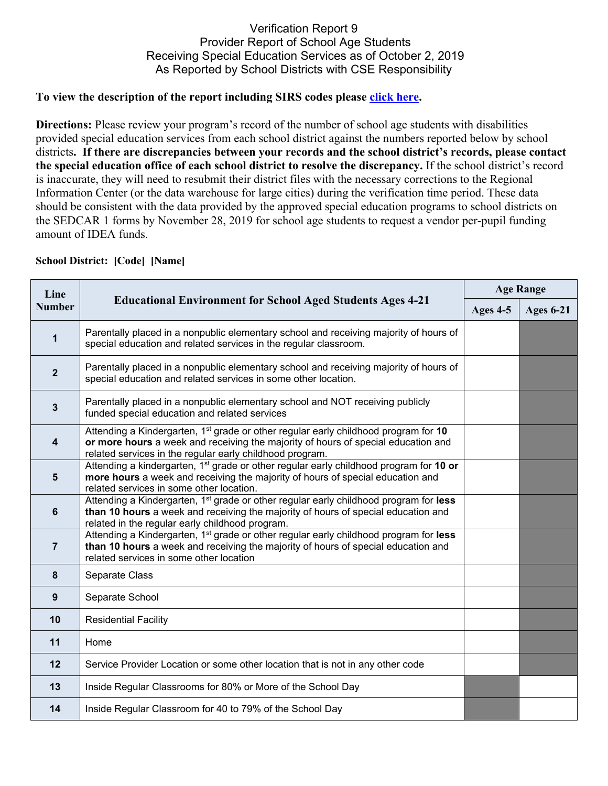## Verification Report 9 Provider Report of School Age Students Receiving Special Education Services as of October 2, 2019 As Reported by School Districts with CSE Responsibility

## **To view the description of the report including SIRS codes please click here.**

**Directions:** Please review your program's record of the number of school age students with disabilities provided special education services from each school district against the numbers reported below by school districts**. If there are discrepancies between your records and the school district's records, please contact the special education office of each school district to resolve the discrepancy.** If the school district's record is inaccurate, they will need to resubmit their district files with the necessary corrections to the Regional Information Center (or the data warehouse for large cities) during the verification time period. These data should be consistent with the data provided by the approved special education programs to school districts on the SEDCAR 1 forms by November 28, 2019 for school age students to request a vendor per-pupil funding amount of IDEA funds.

| Line<br><b>Number</b> | <b>Educational Environment for School Aged Students Ages 4-21</b>                                                                                                                                                                                | <b>Age Range</b> |                  |
|-----------------------|--------------------------------------------------------------------------------------------------------------------------------------------------------------------------------------------------------------------------------------------------|------------------|------------------|
|                       |                                                                                                                                                                                                                                                  | Ages 4-5         | <b>Ages 6-21</b> |
| $\mathbf{1}$          | Parentally placed in a nonpublic elementary school and receiving majority of hours of<br>special education and related services in the regular classroom.                                                                                        |                  |                  |
| $\mathbf{2}$          | Parentally placed in a nonpublic elementary school and receiving majority of hours of<br>special education and related services in some other location.                                                                                          |                  |                  |
| $\mathbf{3}$          | Parentally placed in a nonpublic elementary school and NOT receiving publicly<br>funded special education and related services                                                                                                                   |                  |                  |
| 4                     | Attending a Kindergarten, 1 <sup>st</sup> grade or other regular early childhood program for 10<br>or more hours a week and receiving the majority of hours of special education and<br>related services in the regular early childhood program. |                  |                  |
| $5\phantom{1}$        | Attending a kindergarten, 1 <sup>st</sup> grade or other regular early childhood program for 10 or<br>more hours a week and receiving the majority of hours of special education and<br>related services in some other location.                 |                  |                  |
| $6\phantom{1}$        | Attending a Kindergarten, 1 <sup>st</sup> grade or other regular early childhood program for less<br>than 10 hours a week and receiving the majority of hours of special education and<br>related in the regular early childhood program.        |                  |                  |
| $\overline{7}$        | Attending a Kindergarten, 1 <sup>st</sup> grade or other regular early childhood program for less<br>than 10 hours a week and receiving the majority of hours of special education and<br>related services in some other location                |                  |                  |
| 8                     | Separate Class                                                                                                                                                                                                                                   |                  |                  |
| 9                     | Separate School                                                                                                                                                                                                                                  |                  |                  |
| 10                    | <b>Residential Facility</b>                                                                                                                                                                                                                      |                  |                  |
| 11                    | Home                                                                                                                                                                                                                                             |                  |                  |
| 12                    | Service Provider Location or some other location that is not in any other code                                                                                                                                                                   |                  |                  |
| 13                    | Inside Regular Classrooms for 80% or More of the School Day                                                                                                                                                                                      |                  |                  |
| 14                    | Inside Regular Classroom for 40 to 79% of the School Day                                                                                                                                                                                         |                  |                  |

## **School District: [Code] [Name]**